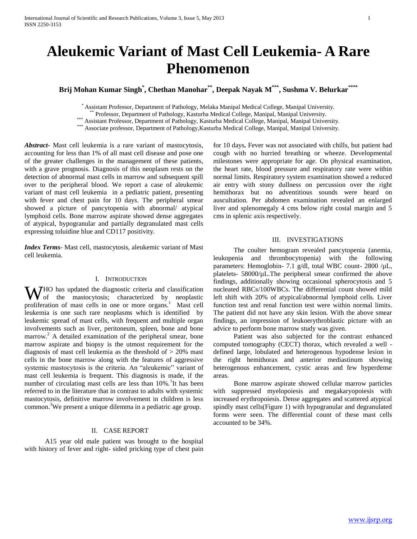# **Aleukemic Variant of Mast Cell Leukemia- A Rare Phenomenon**

**Brij Mohan Kumar Singh\* , Chethan Manohar\*\* , Deepak Nayak M\*\*\* , Sushma V. Belurkar\*\*\*\***

\* Assistant Professor, Department of Pathology, Melaka Manipal Medical College, Manipal University.

\*\* Professor, Department of Pathology, Kasturba Medical College, Manipal, Manipal University.

\*\*\* Assistant Professor, Department of Pathology, Kasturba Medical College, Manipal, Manipal University.

\*\*\* Associate professor, Department of Pathology,Kasturba Medical College, Manipal, Manipal University.

*Abstract***-** Mast cell leukemia is a rare variant of mastocytosis, accounting for less than 1% of all mast cell disease and pose one of the greater challenges in the management of these patients, with a grave prognosis. Diagnosis of this neoplasm rests on the detection of abnormal mast cells in marrow and subsequent spill over to the peripheral blood. We report a case of aleukemic variant of mast cell leukemia in a pediatric patient, presenting with fever and chest pain for 10 days. The peripheral smear showed a picture of pancytopenia with abnormal/ atypical lymphoid cells. Bone marrow aspirate showed dense aggregates of atypical, hypogranular and partially degranulated mast cells expressing toluidine blue and CD117 positivity.

*Index Terms*- Mast cell, mastocytosis, aleukemic variant of Mast cell leukemia.

#### I. INTRODUCTION

W<sub>1</sub>HO has updated the diagnostic criteria and classification<br>the mastocytosis; characterized by neoplastic of the mastocytosis; characterized by neoplastic proliferation of mast cells in one or more organs.<sup>1</sup> Mast cell leukemia is one such rare neoplasms which is identified by leukemic spread of mast cells, with frequent and multiple organ involvements such as liver, peritoneum, spleen, bone and bone marrow.<sup>2</sup> A detailed examination of the peripheral smear, bone marrow aspirate and biopsy is the utmost requirement for the diagnosis of mast cell leukemia as the threshold of > 20% mast cells in the bone marrow along with the features of aggressive systemic mastocytosis is the criteria. An "aleukemic" variant of mast cell leukemia is frequent. This diagnosis is made, if the number of circulating mast cells are less than 10%.<sup>1</sup>It has been referred to in the literature that in contrast to adults with systemic mastocytosis, definitive marrow involvement in children is less common.<sup>3</sup>We present a unique dilemma in a pediatric age group.

## II. CASE REPORT

 A15 year old male patient was brought to the hospital with history of fever and right- sided pricking type of chest pain for 10 days**.** Fever was not associated with chills, but patient had cough with no hurried breathing or wheeze. Developmental milestones were appropriate for age. On physical examination, the heart rate, blood pressure and respiratory rate were within normal limits. Respiratory system examination showed a reduced air entry with stony dullness on percussion over the right hemithorax but no adventitious sounds were heard on auscultation. Per abdomen examination revealed an enlarged liver and splenomegaly 4 cms below right costal margin and 5 cms in splenic axis respectively.

## III. INVESTIGATIONS

 The coulter hemogram revealed pancytopenia (anemia, leukopenia and thrombocytopenia) with the following parameters: Hemoglobin- 7.1 g/dl, total WBC count- 2800 /µL, platelets- 58000/µL.The peripheral smear confirmed the above findings, additionally showing occasional spherocytosis and 5 nucleated RBCs/100WBCs. The differential count showed mild left shift with 20% of atypical/abnormal lymphoid cells. Liver function test and renal function test were within normal limits. The patient did not have any skin lesion. With the above smear findings, an impression of leukoerythroblastic picture with an advice to perform bone marrow study was given.

 Patient was also subjected for the contrast enhanced computed tomography (CECT) thorax, which revealed a well defined large, lobulated and heterogenous hypodense lesion in the right hemithorax and anterior mediastinum showing heterogenous enhancement, cystic areas and few hyperdense areas.

 Bone marrow aspirate showed cellular marrow particles with suppressed myelopoiesis and megakaryopoiesis with increased erythropoiesis. Dense aggregates and scattered atypical spindly mast cells(Figure 1) with hypogranular and degranulated forms were seen. The differential count of these mast cells accounted to be 34%.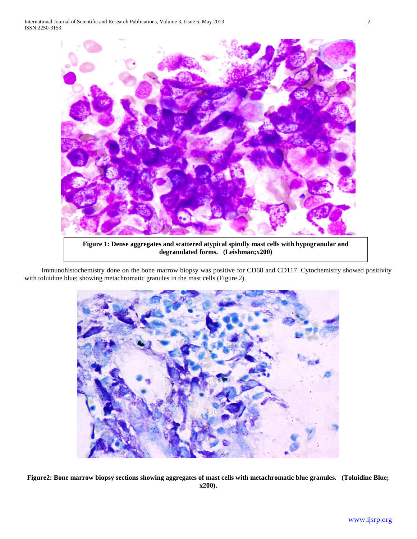

**Figure 1: Dense aggregates and scattered atypical spindly mast cells with hypogranular and degranulated forms. (Leishman;x200)**

 Immunohistochemistry done on the bone marrow biopsy was positive for CD68 and CD117. Cytochemistry showed positivity with toluidine blue; showing metachromatic granules in the mast cells (Figure 2).



**Figure2: Bone marrow biopsy sections showing aggregates of mast cells with metachromatic blue granules. (Toluidine Blue; x200).**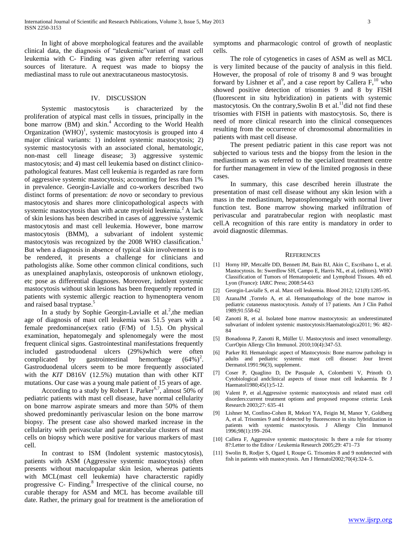In light of above morphological features and the available clinical data, the diagnosis of "aleukemic"variant of mast cell leukemia with C- Finding was given after referring various sources of literature. A request was made to biopsy the mediastinal mass to rule out anextracutaneous mastocytosis.

#### IV. DISCUSSION

 Systemic mastocytosis is characterized by the proliferation of atypical mast cells in tissues, principally in the bone marrow (BM) and skin.<sup>4</sup> According to the World Health Organization  $(WHO)^1$ , systemic mastocytosis is grouped into 4 major clinical variants: 1) indolent systemic mastocytosis; 2) systemic mastocytosis with an associated clonal, hematologic, non-mast cell lineage disease; 3) aggressive systemic mastocytosis; and 4) mast cell leukemia based on distinct clinicopathological features. Mast cell leukemia is regarded as rare form of aggressive systemic mastocytosis; accounting for less than 1% in prevalence. Georgin-Lavialle and co-workers described two distinct forms of presentation: *de novo* or secondary to previous mastocytosis and shares more clinicopathological aspects with systemic mastocytosis than with acute myeloid leukemia.<sup>2</sup> A lack of skin lesions has been described in cases of aggressive systemic mastocytosis and mast cell leukemia. However, bone marrow mastocytosis (BMM), a subvariant of indolent systemic mastocytosis was recognized by the 2008 WHO classification.<sup>1</sup> But when a diagnosis in absence of typical skin involvement is to be rendered, it presents a challenge for clinicians and pathologists alike. Some other common clinical conditions, such as unexplained anaphylaxis, osteoporosis of unknown etiology, etc pose as differential diagnoses. Moreover, indolent systemic mastocytosis without skin lesions has been frequently reported in patients with systemic allergic reaction to hymenoptera venom and raised basal tryptase.<sup>5</sup>

In a study by Sophie Georgin-Lavialle et al.<sup>2</sup>, the median age of diagnosis of mast cell leukemia was 51.5 years with a female predominance(sex ratio (F/M) of 1.5). On physical examination, hepatomegaly and splenomegaly were the most frequent clinical signs. Gastrointestinal manifestations frequently included gastroduodenal ulcers (29%)which were often complicated by gastrointestinal hemorrhage  $(64\%)^2$ . Gastroduodenal ulcers seem to be more frequently associated with the *KIT* D816V (12.5%) mutation than with other KIT mutations. Our case was a young male patient of 15 years of age.

According to a study by Robert I. Parker<sup>6,7</sup>, almost 50% of pediatric patients with mast cell disease, have normal cellularity on bone marrow aspirate smears and more than 50% of them showed predominantly perivascular lesion on the bone marrow biopsy. The present case also showed marked increase in the cellularity with perivascular and paratrabecular clusters of mast cells on biopsy which were positive for various markers of mast cell.

 In contrast to ISM (Indolent systemic mastocytosis), patients with ASM (Aggressive systemic mastocytosis) often presents without maculopapular skin lesion, whereas patients with MCL(mast cell leukemia) have characterstic rapidly progressive C- Finding.<sup>8</sup> Irrespective of the clinical course, no curable therapy for ASM and MCL has become available till date. Rather, the primary goal for treatment is the amelioration of

symptoms and pharmacologic control of growth of neoplastic cells.

 The role of cytogenetics in cases of ASM as well as MCL is very limited because of the paucity of analysis in this field. However, the proposal of role of trisomy 8 and 9 was brought forward by Lishner et al<sup>9</sup>, and a case report by Callera  $F<sub>10</sub>$  who showed positive detection of trisomies 9 and 8 by FISH (fluorescent in situ hybridization) in patients with systemic mastocytosis. On the contrary, Swolin B et al.<sup>11</sup>did not find these trisomies with FISH in patients with mastocytosis. So, there is need of more clinical research into the clinical consequences resulting from the occurrence of chromosomal abnormalities in patients with mast cell disease.

 The present pediatric patient in this case report was not subjected to various tests and the biopsy from the lesion in the mediastinum as was referred to the specialized treatment centre for further management in view of the limited prognosis in these cases.

 In summary, this case described herein illustrate the presentation of mast cell disease without any skin lesion with a mass in the mediastinum, hepatosplenomegaly with normal liver function test. Bone marrow showing marked infiltration of perivascular and paratrabecular region with neoplastic mast cell.A recognition of this rare entity is mandatory in order to avoid diagnostic dilemmas.

#### **REFERENCES**

- [1] Horny HP, Metcalfe DD, Bennett JM, Bain BJ, Akin C, Escribano L, et al. Mastocytosis. In: Swerdlow SH, Campo E, Harris NL, et al, (editors). WHO Classification of Tumors of Hematopoietic and Lymphoid Tissues. 4th ed. Lyon (France): IARC Press; 2008:54-63
- [2] Georgin-Lavialle S, et al. Mast cell leukemia. Blood 2012; 121(8):1285-95.
- [3] AzanaJM ,Torrelo A, et al. Hematopathology of the bone marrow in pediatric cutaneous mastocytosis. Astudy of 17 patients. Am J Clin Pathol 1989;91:558-62
- [4] Zanotti R, et al. Isolated bone marrow mastocytosis: an underestimated subvariant of indolent systemic mastocytosis:Haematologica2011; 96: 482- 84
- [5] Bonadonna P, Zanotti R, Müller U. Mastocytosis and insect venomallergy. CurrOpin Allergy Clin Immunol. 2010;10(4):347-53.
- [6] Parker RI. Hematologic aspect of Mastocytosis: Bone marrow pathology in adults and pediatric systemic mast cell disease: Jour Invest Dermatol.1991:96(3), supplement.
- [7] Coser P, Quaglino D, De Pasquale A, Colombetti V, Prinoth O. Cytobiological andclinical aspects of tissue mast cell leukaemia. Br J Haematol1980;45(1):5-12.
- [8] Valent P, et al.Aggressive systemic mastocytosis and related mast cell disorders:current treatment options and proposed response criteria: Leuk Research 2003;27: 635–41
- [9] Lishner M, Confino-Cohen R, Mekori YA, Feigin M, Manor Y, Goldberg A, et al. Trisomies 9 and 8 detected by fluorescence in situ hybridization in patients with systemic mastocytosis. J Allergy Clin Immunol 1996;98(1):199–204.
- [10] Callera F, Aggressive systemic mastocytosis: Is there a role for trisomy 8?:Letter to the Editor / Leukemia Research 2005;29: 471–73
- [11] Swolin B, Rodjer S, Ogard I, Roupe G. Trisomies 8 and 9 notdetected with fish in patients with mastocytosis. Am J Hematol2002;70(4):324–5.